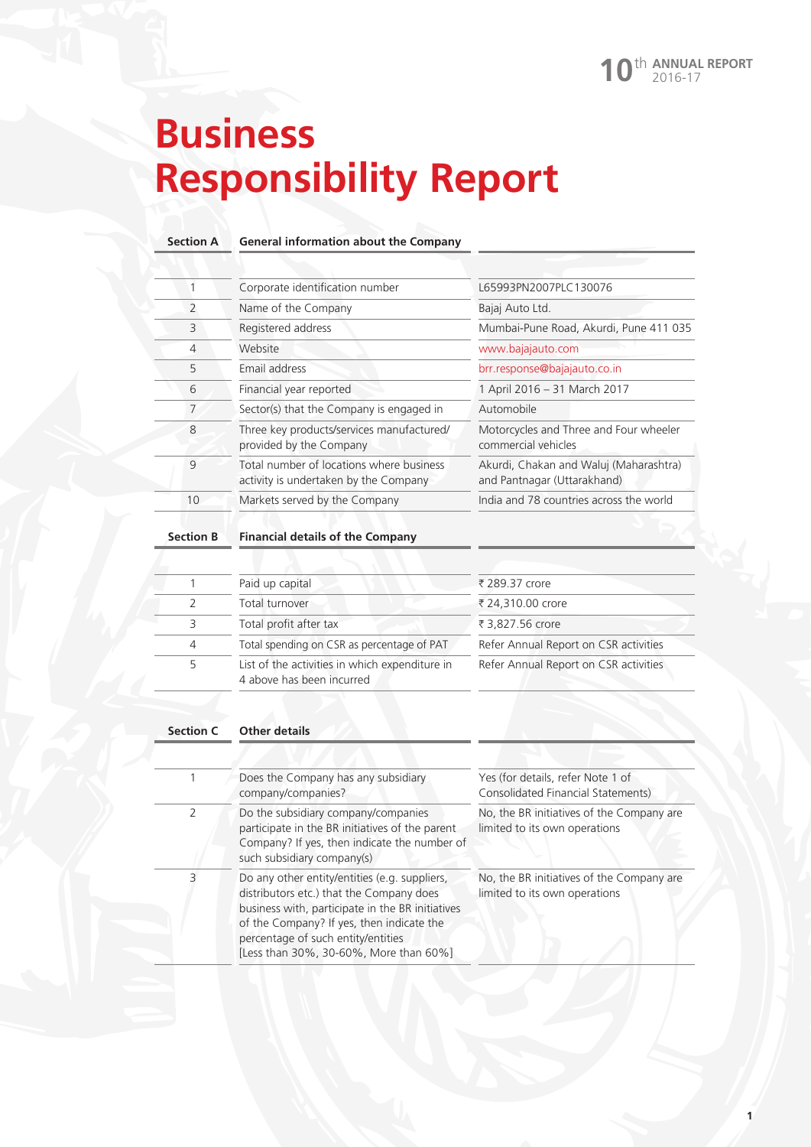# **Business Responsibility Report**

### **Section A General information about the Company**

|    | Corporate identification number                                                   | L65993PN2007PLC130076                                                 |
|----|-----------------------------------------------------------------------------------|-----------------------------------------------------------------------|
| 2  | Name of the Company                                                               | Bajaj Auto Ltd.                                                       |
| 3  | Registered address                                                                | Mumbai-Pune Road, Akurdi, Pune 411 035                                |
| 4  | Website                                                                           | www.bajajauto.com                                                     |
| 5  | Email address                                                                     | brr.response@bajajauto.co.in                                          |
| 6  | Financial year reported                                                           | 1 April 2016 - 31 March 2017                                          |
| 7  | Sector(s) that the Company is engaged in                                          | Automobile                                                            |
| 8  | Three key products/services manufactured/<br>provided by the Company              | Motorcycles and Three and Four wheeler<br>commercial vehicles         |
| 9  | Total number of locations where business<br>activity is undertaken by the Company | Akurdi, Chakan and Waluj (Maharashtra)<br>and Pantnagar (Uttarakhand) |
| 10 | Markets served by the Company                                                     | India and 78 countries across the world                               |

### **Section B Financial details of the Company**

|   | Paid up capital                                                             | ₹ 289.37 crore                        |
|---|-----------------------------------------------------------------------------|---------------------------------------|
| 2 | Total turnover                                                              | ₹ 24,310.00 crore                     |
| 3 | Total profit after tax                                                      | ₹ 3,827.56 crore                      |
| 4 | Total spending on CSR as percentage of PAT                                  | Refer Annual Report on CSR activities |
| 5 | List of the activities in which expenditure in<br>4 above has been incurred | Refer Annual Report on CSR activities |

### **Section C Other details**

|               | Does the Company has any subsidiary<br>company/companies?                                                                                                                                                                                                                  | Yes (for details, refer Note 1 of<br>Consolidated Financial Statements)    |
|---------------|----------------------------------------------------------------------------------------------------------------------------------------------------------------------------------------------------------------------------------------------------------------------------|----------------------------------------------------------------------------|
| $\mathcal{L}$ | Do the subsidiary company/companies<br>participate in the BR initiatives of the parent<br>Company? If yes, then indicate the number of<br>such subsidiary company(s)                                                                                                       | No, the BR initiatives of the Company are<br>limited to its own operations |
| 3             | Do any other entity/entities (e.g. suppliers,<br>distributors etc.) that the Company does<br>business with, participate in the BR initiatives<br>of the Company? If yes, then indicate the<br>percentage of such entity/entities<br>[Less than 30%, 30-60%, More than 60%] | No, the BR initiatives of the Company are<br>limited to its own operations |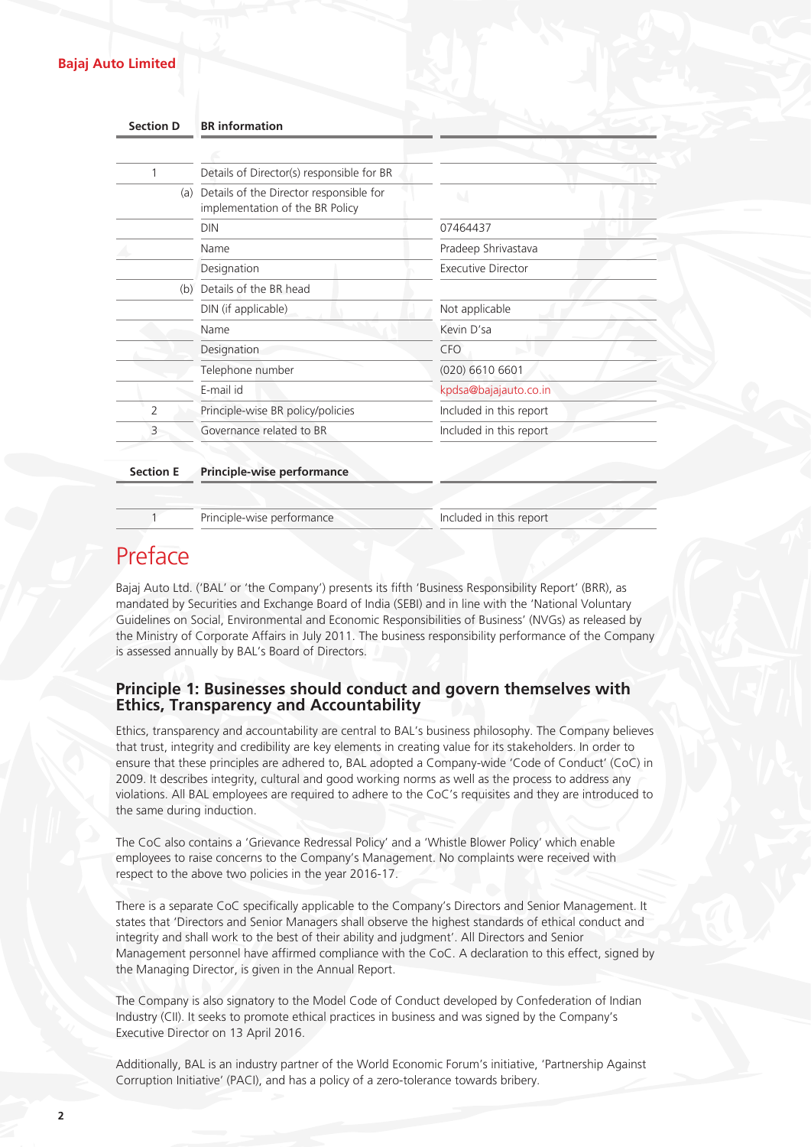### **Bajaj Auto Limited**

| <b>Section D</b> | <b>BR</b> information                                                      |                         |
|------------------|----------------------------------------------------------------------------|-------------------------|
|                  |                                                                            |                         |
| 1                | Details of Director(s) responsible for BR                                  |                         |
| (a)              | Details of the Director responsible for<br>implementation of the BR Policy | $\sim$                  |
|                  | <b>DIN</b>                                                                 | 07464437                |
|                  | Name                                                                       | Pradeep Shrivastava     |
|                  | Designation                                                                | Executive Director      |
| (b)              | Details of the BR head                                                     |                         |
|                  | DIN (if applicable)                                                        | Not applicable          |
|                  | Name                                                                       | Kevin D'sa              |
|                  | Designation                                                                | <b>CFO</b>              |
|                  | Telephone number                                                           | $(020)$ 6610 6601       |
|                  | E-mail id                                                                  | kpdsa@bajajauto.co.in   |
| 2                | Principle-wise BR policy/policies                                          | Included in this report |
| 3                | Governance related to BR                                                   | Included in this report |

### **Section E Principle-wise performance**

1 Principle-wise performance Included in this report

## Preface

Bajaj Auto Ltd. ('BAL' or 'the Company') presents its fifth 'Business Responsibility Report' (BRR), as mandated by Securities and Exchange Board of India (SEBI) and in line with the 'National Voluntary Guidelines on Social, Environmental and Economic Responsibilities of Business' (NVGs) as released by the Ministry of Corporate Affairs in July 2011. The business responsibility performance of the Company is assessed annually by BAL's Board of Directors.

### **Principle 1: Businesses should conduct and govern themselves with Ethics, Transparency and Accountability**

Ethics, transparency and accountability are central to BAL's business philosophy. The Company believes that trust, integrity and credibility are key elements in creating value for its stakeholders. In order to ensure that these principles are adhered to, BAL adopted a Company-wide 'Code of Conduct' (CoC) in 2009. It describes integrity, cultural and good working norms as well as the process to address any violations. All BAL employees are required to adhere to the CoC's requisites and they are introduced to the same during induction.

The CoC also contains a 'Grievance Redressal Policy' and a 'Whistle Blower Policy' which enable employees to raise concerns to the Company's Management. No complaints were received with respect to the above two policies in the year 2016-17.

There is a separate CoC specifically applicable to the Company's Directors and Senior Management. It states that 'Directors and Senior Managers shall observe the highest standards of ethical conduct and integrity and shall work to the best of their ability and judgment'. All Directors and Senior Management personnel have affirmed compliance with the CoC. A declaration to this effect, signed by the Managing Director, is given in the Annual Report.

The Company is also signatory to the Model Code of Conduct developed by Confederation of Indian Industry (CII). It seeks to promote ethical practices in business and was signed by the Company's Executive Director on 13 April 2016.

Additionally, BAL is an industry partner of the World Economic Forum's initiative, 'Partnership Against Corruption Initiative' (PACI), and has a policy of a zero-tolerance towards bribery.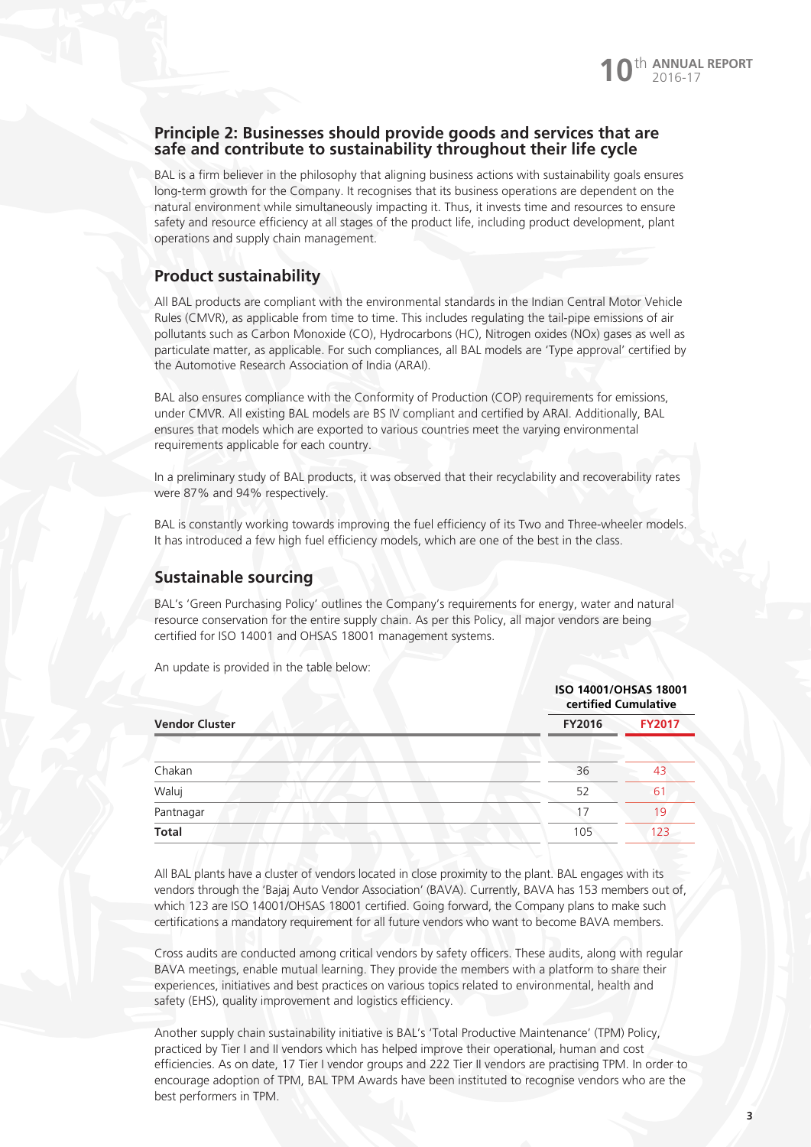### **Principle 2: Businesses should provide goods and services that are safe and contribute to sustainability throughout their life cycle**

BAL is a firm believer in the philosophy that aligning business actions with sustainability goals ensures long-term growth for the Company. It recognises that its business operations are dependent on the natural environment while simultaneously impacting it. Thus, it invests time and resources to ensure safety and resource efficiency at all stages of the product life, including product development, plant operations and supply chain management.

### **Product sustainability**

All BAL products are compliant with the environmental standards in the Indian Central Motor Vehicle Rules (CMVR), as applicable from time to time. This includes regulating the tail-pipe emissions of air pollutants such as Carbon Monoxide (CO), Hydrocarbons (HC), Nitrogen oxides (NOx) gases as well as particulate matter, as applicable. For such compliances, all BAL models are 'Type approval' certified by the Automotive Research Association of India (ARAI).

BAL also ensures compliance with the Conformity of Production (COP) requirements for emissions, under CMVR. All existing BAL models are BS IV compliant and certified by ARAI. Additionally, BAL ensures that models which are exported to various countries meet the varying environmental requirements applicable for each country.

In a preliminary study of BAL products, it was observed that their recyclability and recoverability rates were 87% and 94% respectively.

BAL is constantly working towards improving the fuel efficiency of its Two and Three-wheeler models. It has introduced a few high fuel efficiency models, which are one of the best in the class.

### **Sustainable sourcing**

BAL's 'Green Purchasing Policy' outlines the Company's requirements for energy, water and natural resource conservation for the entire supply chain. As per this Policy, all major vendors are being certified for ISO 14001 and OHSAS 18001 management systems.

An update is provided in the table below:

|                       | <b>ISO 14001/OHSAS 18001</b><br>certified Cumulative |               |
|-----------------------|------------------------------------------------------|---------------|
| <b>Vendor Cluster</b> | <b>FY2016</b>                                        | <b>FY2017</b> |
| Chakan                | 36                                                   | 43            |
| Waluj                 | 52                                                   | 61            |
| Pantnagar             | 17                                                   | 19            |
| <b>Total</b>          | 105                                                  | 123           |

All BAL plants have a cluster of vendors located in close proximity to the plant. BAL engages with its vendors through the 'Bajaj Auto Vendor Association' (BAVA). Currently, BAVA has 153 members out of, which 123 are ISO 14001/OHSAS 18001 certified. Going forward, the Company plans to make such certifications a mandatory requirement for all future vendors who want to become BAVA members.

Cross audits are conducted among critical vendors by safety officers. These audits, along with regular BAVA meetings, enable mutual learning. They provide the members with a platform to share their experiences, initiatives and best practices on various topics related to environmental, health and safety (EHS), quality improvement and logistics efficiency.

Another supply chain sustainability initiative is BAL's 'Total Productive Maintenance' (TPM) Policy, practiced by Tier I and II vendors which has helped improve their operational, human and cost efficiencies. As on date, 17 Tier I vendor groups and 222 Tier II vendors are practising TPM. In order to encourage adoption of TPM, BAL TPM Awards have been instituted to recognise vendors who are the best performers in TPM.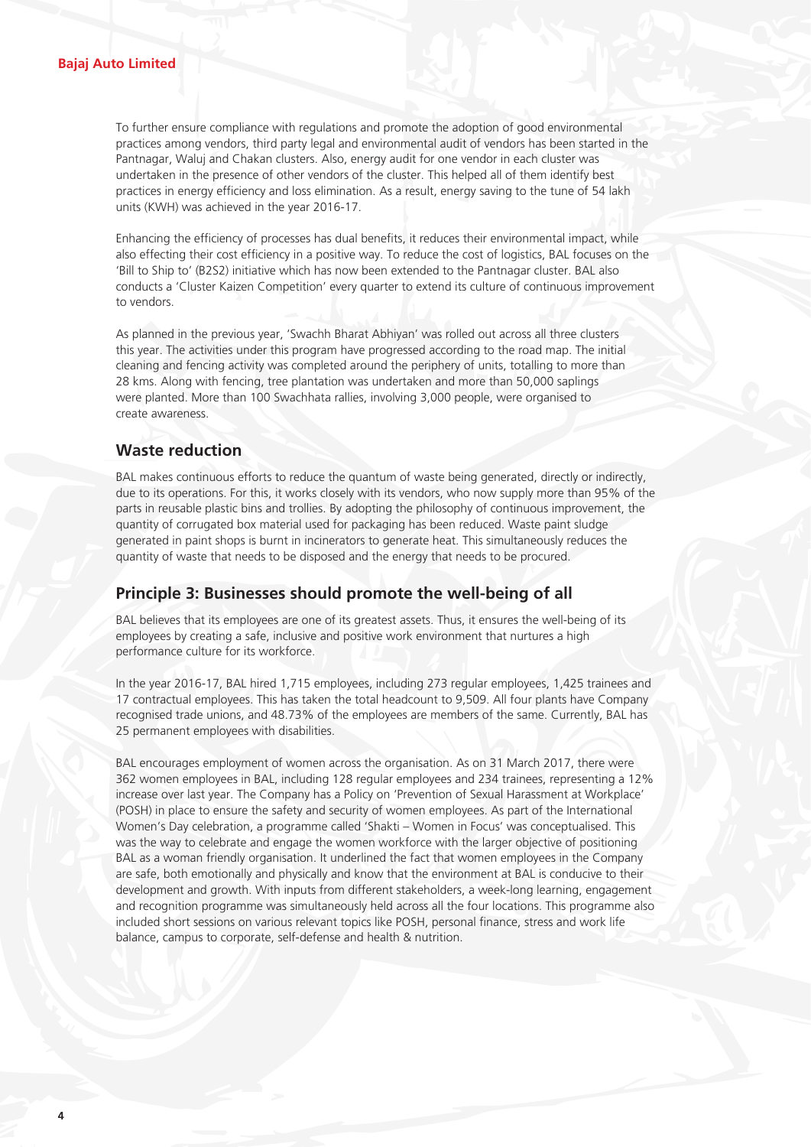To further ensure compliance with regulations and promote the adoption of good environmental practices among vendors, third party legal and environmental audit of vendors has been started in the Pantnagar, Waluj and Chakan clusters. Also, energy audit for one vendor in each cluster was undertaken in the presence of other vendors of the cluster. This helped all of them identify best practices in energy efficiency and loss elimination. As a result, energy saving to the tune of 54 lakh units (KWH) was achieved in the year 2016-17.

Enhancing the efficiency of processes has dual benefits, it reduces their environmental impact, while also effecting their cost efficiency in a positive way. To reduce the cost of logistics, BAL focuses on the 'Bill to Ship to' (B2S2) initiative which has now been extended to the Pantnagar cluster. BAL also conducts a 'Cluster Kaizen Competition' every quarter to extend its culture of continuous improvement to vendors.

As planned in the previous year, 'Swachh Bharat Abhiyan' was rolled out across all three clusters this year. The activities under this program have progressed according to the road map. The initial cleaning and fencing activity was completed around the periphery of units, totalling to more than 28 kms. Along with fencing, tree plantation was undertaken and more than 50,000 saplings were planted. More than 100 Swachhata rallies, involving 3,000 people, were organised to create awareness.

### **Waste reduction**

BAL makes continuous efforts to reduce the quantum of waste being generated, directly or indirectly, due to its operations. For this, it works closely with its vendors, who now supply more than 95% of the parts in reusable plastic bins and trollies. By adopting the philosophy of continuous improvement, the quantity of corrugated box material used for packaging has been reduced. Waste paint sludge generated in paint shops is burnt in incinerators to generate heat. This simultaneously reduces the quantity of waste that needs to be disposed and the energy that needs to be procured.

### **Principle 3: Businesses should promote the well-being of all**

BAL believes that its employees are one of its greatest assets. Thus, it ensures the well-being of its employees by creating a safe, inclusive and positive work environment that nurtures a high performance culture for its workforce.

In the year 2016-17, BAL hired 1,715 employees, including 273 regular employees, 1,425 trainees and 17 contractual employees. This has taken the total headcount to 9,509. All four plants have Company recognised trade unions, and 48.73% of the employees are members of the same. Currently, BAL has 25 permanent employees with disabilities.

BAL encourages employment of women across the organisation. As on 31 March 2017, there were 362 women employees in BAL, including 128 regular employees and 234 trainees, representing a 12% increase over last year. The Company has a Policy on 'Prevention of Sexual Harassment at Workplace' (POSH) in place to ensure the safety and security of women employees. As part of the International Women's Day celebration, a programme called 'Shakti – Women in Focus' was conceptualised. This was the way to celebrate and engage the women workforce with the larger objective of positioning BAL as a woman friendly organisation. It underlined the fact that women employees in the Company are safe, both emotionally and physically and know that the environment at BAL is conducive to their development and growth. With inputs from different stakeholders, a week-long learning, engagement and recognition programme was simultaneously held across all the four locations. This programme also included short sessions on various relevant topics like POSH, personal finance, stress and work life balance, campus to corporate, self-defense and health & nutrition.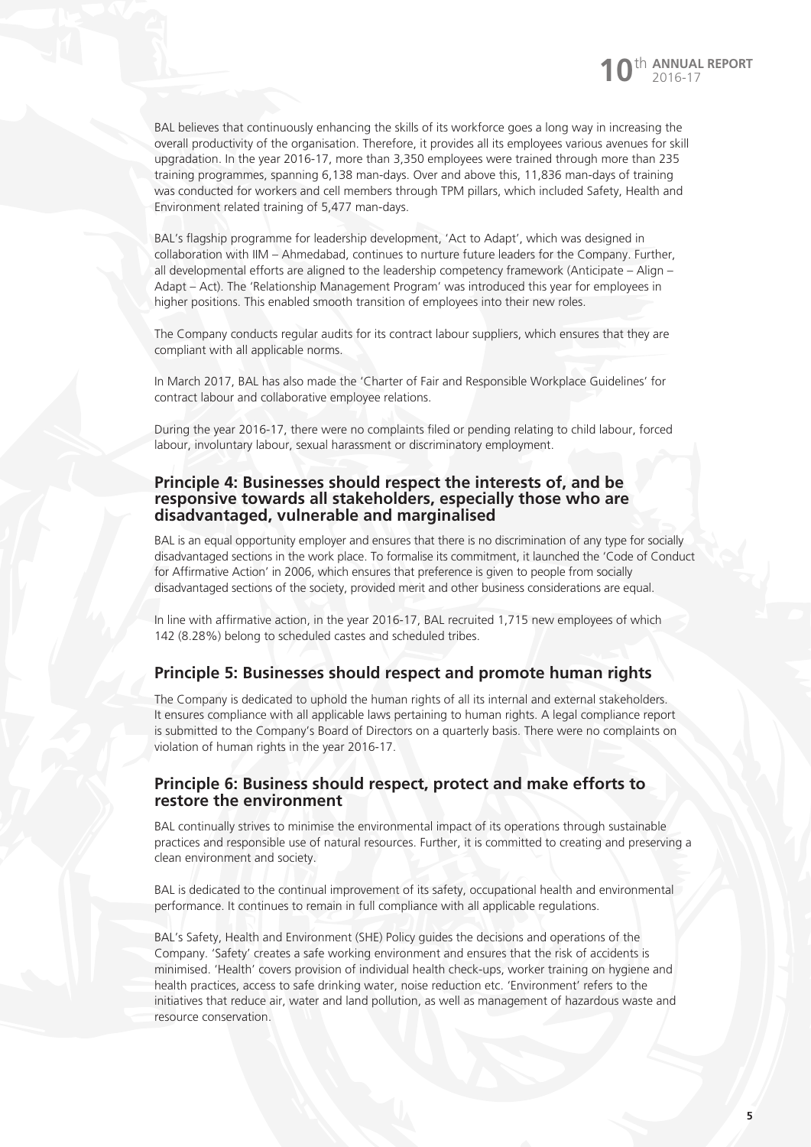BAL believes that continuously enhancing the skills of its workforce goes a long way in increasing the overall productivity of the organisation. Therefore, it provides all its employees various avenues for skill upgradation. In the year 2016-17, more than 3,350 employees were trained through more than 235 training programmes, spanning 6,138 man-days. Over and above this, 11,836 man-days of training was conducted for workers and cell members through TPM pillars, which included Safety, Health and Environment related training of 5,477 man-days.

BAL's flagship programme for leadership development, 'Act to Adapt', which was designed in collaboration with IIM – Ahmedabad, continues to nurture future leaders for the Company. Further, all developmental efforts are aligned to the leadership competency framework (Anticipate – Align – Adapt – Act). The 'Relationship Management Program' was introduced this year for employees in higher positions. This enabled smooth transition of employees into their new roles.

The Company conducts regular audits for its contract labour suppliers, which ensures that they are compliant with all applicable norms.

In March 2017, BAL has also made the 'Charter of Fair and Responsible Workplace Guidelines' for contract labour and collaborative employee relations.

During the year 2016-17, there were no complaints filed or pending relating to child labour, forced labour, involuntary labour, sexual harassment or discriminatory employment.

### **Principle 4: Businesses should respect the interests of, and be responsive towards all stakeholders, especially those who are disadvantaged, vulnerable and marginalised**

BAL is an equal opportunity employer and ensures that there is no discrimination of any type for socially disadvantaged sections in the work place. To formalise its commitment, it launched the 'Code of Conduct for Affirmative Action' in 2006, which ensures that preference is given to people from socially disadvantaged sections of the society, provided merit and other business considerations are equal.

In line with affirmative action, in the year 2016-17, BAL recruited 1,715 new employees of which 142 (8.28%) belong to scheduled castes and scheduled tribes.

### **Principle 5: Businesses should respect and promote human rights**

The Company is dedicated to uphold the human rights of all its internal and external stakeholders. It ensures compliance with all applicable laws pertaining to human rights. A legal compliance report is submitted to the Company's Board of Directors on a quarterly basis. There were no complaints on violation of human rights in the year 2016-17.

### **Principle 6: Business should respect, protect and make efforts to restore the environment**

BAL continually strives to minimise the environmental impact of its operations through sustainable practices and responsible use of natural resources. Further, it is committed to creating and preserving a clean environment and society.

BAL is dedicated to the continual improvement of its safety, occupational health and environmental performance. It continues to remain in full compliance with all applicable regulations.

BAL's Safety, Health and Environment (SHE) Policy guides the decisions and operations of the Company. 'Safety' creates a safe working environment and ensures that the risk of accidents is minimised. 'Health' covers provision of individual health check-ups, worker training on hygiene and health practices, access to safe drinking water, noise reduction etc. 'Environment' refers to the initiatives that reduce air, water and land pollution, as well as management of hazardous waste and resource conservation.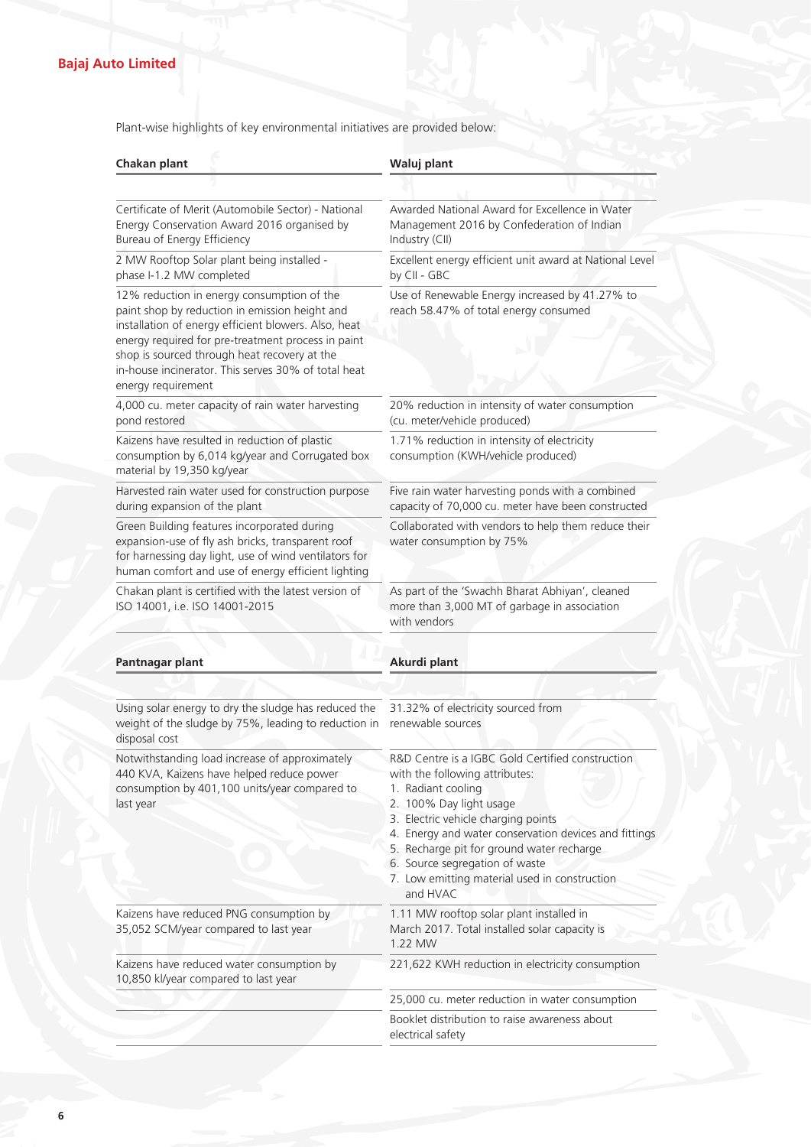### **Bajaj Auto Limited**

Plant-wise highlights of key environmental initiatives are provided below:

| Chakan plant                                                                                                                                                                                                                                                                                                                            | Waluj plant                                                                                                                                                                                                                                                                                                                                                                     |  |
|-----------------------------------------------------------------------------------------------------------------------------------------------------------------------------------------------------------------------------------------------------------------------------------------------------------------------------------------|---------------------------------------------------------------------------------------------------------------------------------------------------------------------------------------------------------------------------------------------------------------------------------------------------------------------------------------------------------------------------------|--|
|                                                                                                                                                                                                                                                                                                                                         |                                                                                                                                                                                                                                                                                                                                                                                 |  |
| Certificate of Merit (Automobile Sector) - National<br>Energy Conservation Award 2016 organised by<br>Bureau of Energy Efficiency                                                                                                                                                                                                       | Awarded National Award for Excellence in Water<br>Management 2016 by Confederation of Indian<br>Industry (CII)                                                                                                                                                                                                                                                                  |  |
| 2 MW Rooftop Solar plant being installed -<br>phase I-1.2 MW completed                                                                                                                                                                                                                                                                  | Excellent energy efficient unit award at National Level<br>by CII - GBC                                                                                                                                                                                                                                                                                                         |  |
| 12% reduction in energy consumption of the<br>paint shop by reduction in emission height and<br>installation of energy efficient blowers. Also, heat<br>energy required for pre-treatment process in paint<br>shop is sourced through heat recovery at the<br>in-house incinerator. This serves 30% of total heat<br>energy requirement | Use of Renewable Energy increased by 41.27% to<br>reach 58.47% of total energy consumed                                                                                                                                                                                                                                                                                         |  |
| 4,000 cu. meter capacity of rain water harvesting<br>pond restored                                                                                                                                                                                                                                                                      | 20% reduction in intensity of water consumption<br>(cu. meter/vehicle produced)                                                                                                                                                                                                                                                                                                 |  |
| Kaizens have resulted in reduction of plastic<br>consumption by 6,014 kg/year and Corrugated box<br>material by 19,350 kg/year                                                                                                                                                                                                          | 1.71% reduction in intensity of electricity<br>consumption (KWH/vehicle produced)                                                                                                                                                                                                                                                                                               |  |
| Harvested rain water used for construction purpose<br>during expansion of the plant                                                                                                                                                                                                                                                     | Five rain water harvesting ponds with a combined<br>capacity of 70,000 cu. meter have been constructed                                                                                                                                                                                                                                                                          |  |
| Green Building features incorporated during<br>expansion-use of fly ash bricks, transparent roof<br>for harnessing day light, use of wind ventilators for<br>human comfort and use of energy efficient lighting                                                                                                                         | Collaborated with vendors to help them reduce their<br>water consumption by 75%                                                                                                                                                                                                                                                                                                 |  |
| Chakan plant is certified with the latest version of<br>ISO 14001, i.e. ISO 14001-2015                                                                                                                                                                                                                                                  | As part of the 'Swachh Bharat Abhiyan', cleaned<br>more than 3,000 MT of garbage in association<br>with vendors                                                                                                                                                                                                                                                                 |  |
| Pantnagar plant                                                                                                                                                                                                                                                                                                                         | Akurdi plant                                                                                                                                                                                                                                                                                                                                                                    |  |
| Using solar energy to dry the sludge has reduced the<br>weight of the sludge by 75%, leading to reduction in<br>disposal cost                                                                                                                                                                                                           | 31.32% of electricity sourced from<br>renewable sources                                                                                                                                                                                                                                                                                                                         |  |
| Notwithstanding load increase of approximately<br>440 KVA, Kaizens have helped reduce power<br>consumption by 401,100 units/year compared to<br>last year                                                                                                                                                                               | R&D Centre is a IGBC Gold Certified construction<br>with the following attributes:<br>1. Radiant cooling<br>2. 100% Day light usage<br>3. Electric vehicle charging points<br>4. Energy and water conservation devices and fittings<br>5. Recharge pit for ground water recharge<br>6. Source segregation of waste<br>7. Low emitting material used in construction<br>and HVAC |  |
|                                                                                                                                                                                                                                                                                                                                         |                                                                                                                                                                                                                                                                                                                                                                                 |  |
|                                                                                                                                                                                                                                                                                                                                         | 1.11 MW rooftop solar plant installed in<br>March 2017. Total installed solar capacity is<br>1.22 MW                                                                                                                                                                                                                                                                            |  |
| Kaizens have reduced PNG consumption by<br>35,052 SCM/year compared to last year<br>Kaizens have reduced water consumption by<br>10,850 kl/year compared to last year                                                                                                                                                                   | 221,622 KWH reduction in electricity consumption                                                                                                                                                                                                                                                                                                                                |  |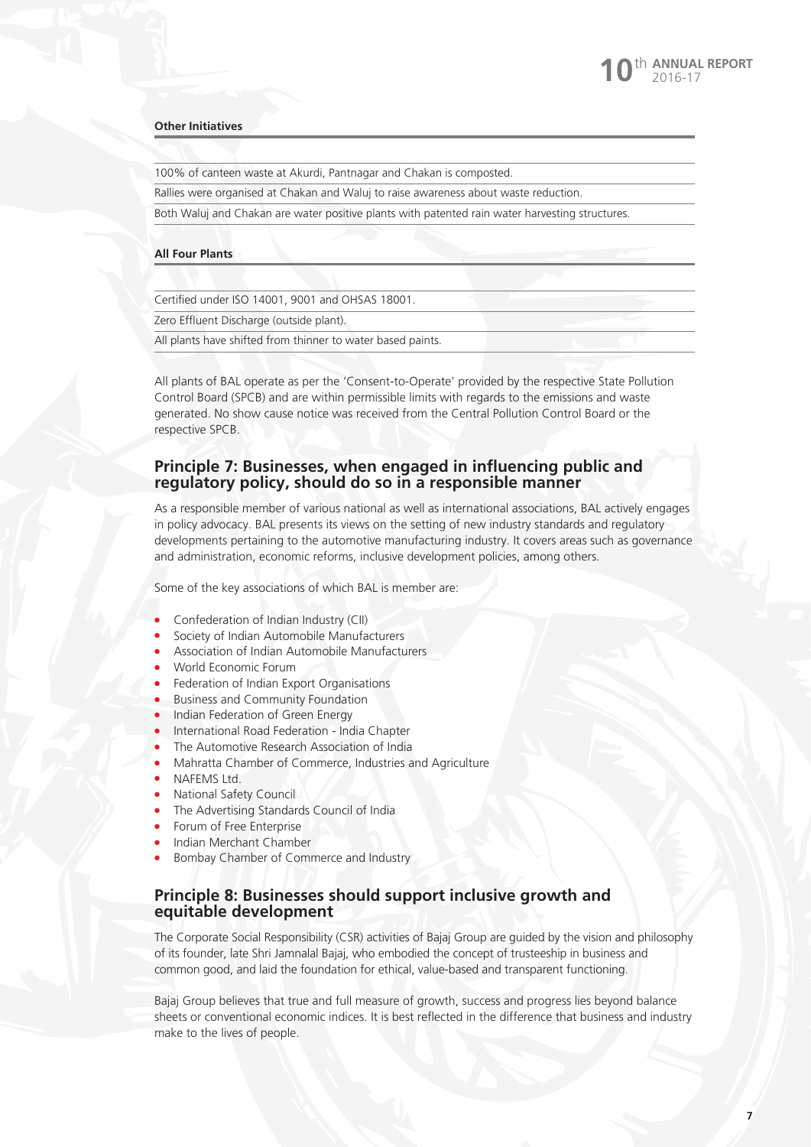#### **Other Initiatives**

100% of canteen waste at Akurdi, Pantnagar and Chakan is composted.

Rallies were organised at Chakan and Waluj to raise awareness about waste reduction.

Both Waluj and Chakan are water positive plants with patented rain water harvesting structures.

### **All Four Plants**

Certified under ISO 14001, 9001 and OHSAS 18001.

Zero Effluent Discharge (outside plant).

All plants have shifted from thinner to water based paints.

All plants of BAL operate as per the 'Consent-to-Operate' provided by the respective State Pollution Control Board (SPCB) and are within permissible limits with regards to the emissions and waste generated. No show cause notice was received from the Central Pollution Control Board or the respective SPCB.

### **Principle 7: Businesses, when engaged in influencing public and regulatory policy, should do so in a responsible manner**

As a responsible member of various national as well as international associations, BAL actively engages in policy advocacy. BAL presents its views on the setting of new industry standards and regulatory developments pertaining to the automotive manufacturing industry. It covers areas such as governance and administration, economic reforms, inclusive development policies, among others.

Some of the key associations of which BAL is member are:

- **•** Confederation of Indian Industry (CII)
- Society of Indian Automobile Manufacturers
- <sup>l</sup> Association of Indian Automobile Manufacturers
- World Economic Forum
- Federation of Indian Export Organisations
- **Business and Community Foundation**
- Indian Federation of Green Energy
- <sup>l</sup> International Road Federation India Chapter
- The Automotive Research Association of India
- Mahratta Chamber of Commerce, Industries and Agriculture
- NAFEMS Ltd.
- **National Safety Council**
- The Advertising Standards Council of India
- **•** Forum of Free Enterprise
- Indian Merchant Chamber
- **•** Bombay Chamber of Commerce and Industry

### **Principle 8: Businesses should support inclusive growth and equitable development**

The Corporate Social Responsibility (CSR) activities of Bajaj Group are guided by the vision and philosophy of its founder, late Shri Jamnalal Bajaj, who embodied the concept of trusteeship in business and common good, and laid the foundation for ethical, value-based and transparent functioning.

Bajaj Group believes that true and full measure of growth, success and progress lies beyond balance sheets or conventional economic indices. It is best reflected in the difference that business and industry make to the lives of people.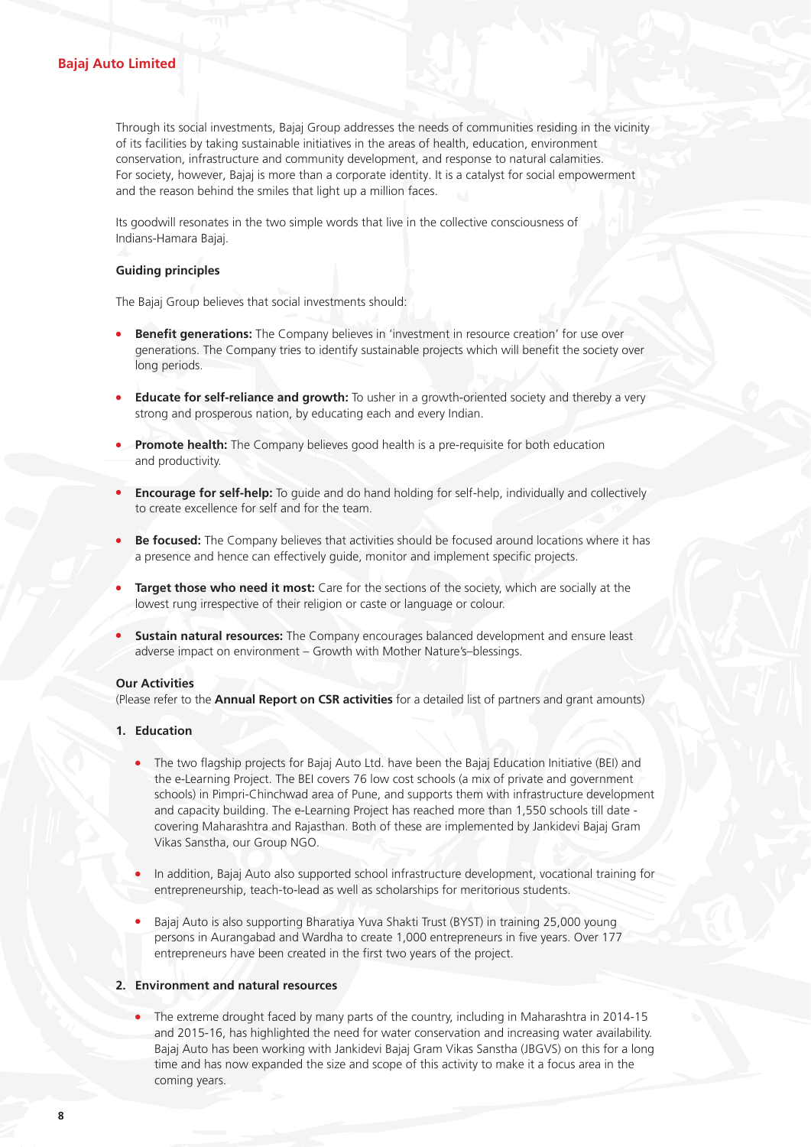### **Bajaj Auto Limited**

Through its social investments, Bajaj Group addresses the needs of communities residing in the vicinity of its facilities by taking sustainable initiatives in the areas of health, education, environment conservation, infrastructure and community development, and response to natural calamities. For society, however, Bajaj is more than a corporate identity. It is a catalyst for social empowerment and the reason behind the smiles that light up a million faces.

Its goodwill resonates in the two simple words that live in the collective consciousness of Indians-Hamara Bajaj.

### **Guiding principles**

The Bajaj Group believes that social investments should:

- **Benefit generations:** The Company believes in 'investment in resource creation' for use over generations. The Company tries to identify sustainable projects which will benefit the society over long periods.
- **Educate for self-reliance and growth:** To usher in a growth-oriented society and thereby a very strong and prosperous nation, by educating each and every Indian.
- **Promote health:** The Company believes good health is a pre-requisite for both education and productivity.
- **Encourage for self-help:** To guide and do hand holding for self-help, individually and collectively to create excellence for self and for the team.
- Be focused: The Company believes that activities should be focused around locations where it has a presence and hence can effectively guide, monitor and implement specific projects.
- **Target those who need it most:** Care for the sections of the society, which are socially at the lowest rung irrespective of their religion or caste or language or colour.
- **Sustain natural resources:** The Company encourages balanced development and ensure least adverse impact on environment – Growth with Mother Nature's–blessings.

### **Our Activities**

(Please refer to the **Annual Report on CSR activities** for a detailed list of partners and grant amounts)

- **1. Education**
	- The two flagship projects for Bajaj Auto Ltd. have been the Bajaj Education Initiative (BEI) and the e-Learning Project. The BEI covers 76 low cost schools (a mix of private and government schools) in Pimpri-Chinchwad area of Pune, and supports them with infrastructure development and capacity building. The e-Learning Project has reached more than 1,550 schools till date covering Maharashtra and Rajasthan. Both of these are implemented by Jankidevi Bajaj Gram Vikas Sanstha, our Group NGO.
	- In addition, Bajaj Auto also supported school infrastructure development, vocational training for entrepreneurship, teach-to-lead as well as scholarships for meritorious students.
	- Bajaj Auto is also supporting Bharatiya Yuva Shakti Trust (BYST) in training 25,000 young persons in Aurangabad and Wardha to create 1,000 entrepreneurs in five years. Over 177 entrepreneurs have been created in the first two years of the project.

### **2. Environment and natural resources**

The extreme drought faced by many parts of the country, including in Maharashtra in 2014-15 and 2015-16, has highlighted the need for water conservation and increasing water availability. Bajaj Auto has been working with Jankidevi Bajaj Gram Vikas Sanstha (JBGVS) on this for a long time and has now expanded the size and scope of this activity to make it a focus area in the coming years.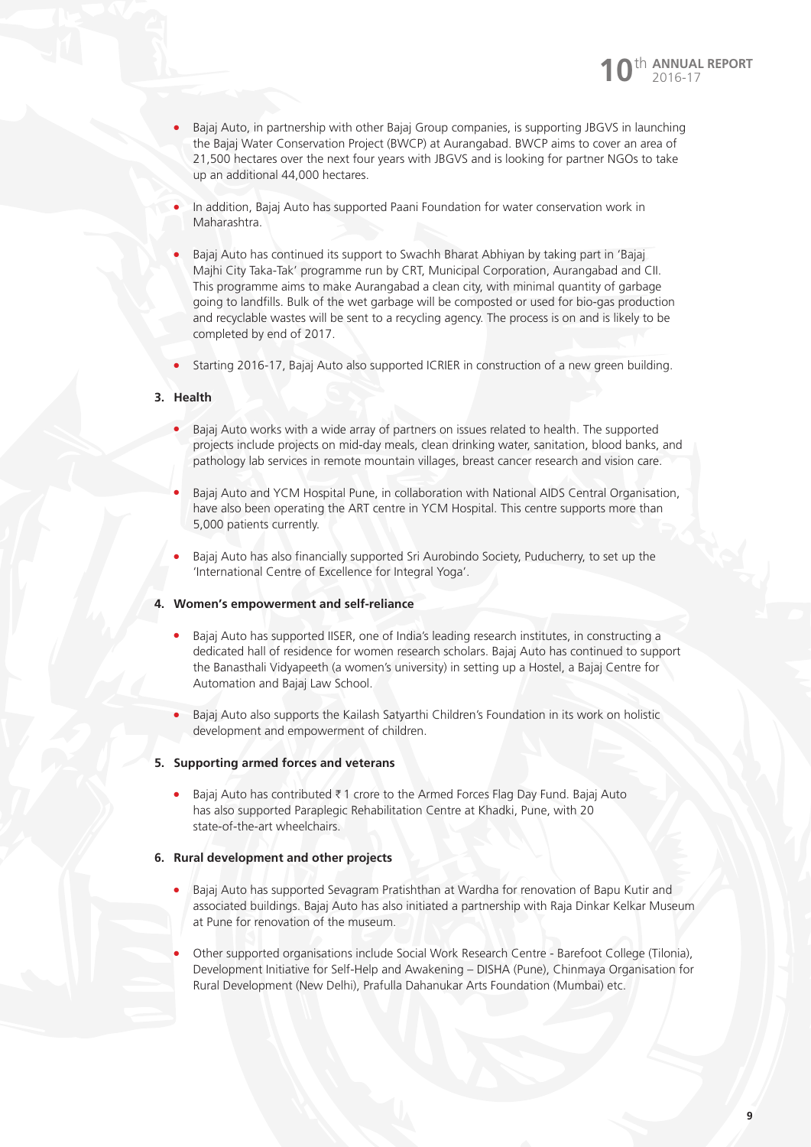

- <sup>l</sup> Bajaj Auto, in partnership with other Bajaj Group companies, is supporting JBGVS in launching the Bajaj Water Conservation Project (BWCP) at Aurangabad. BWCP aims to cover an area of 21,500 hectares over the next four years with JBGVS and is looking for partner NGOs to take up an additional 44,000 hectares.
- In addition, Bajaj Auto has supported Paani Foundation for water conservation work in Maharashtra.
- <sup>l</sup> Bajaj Auto has continued its support to Swachh Bharat Abhiyan by taking part in 'Bajaj Majhi City Taka-Tak' programme run by CRT, Municipal Corporation, Aurangabad and CII. This programme aims to make Aurangabad a clean city, with minimal quantity of garbage going to landfills. Bulk of the wet garbage will be composted or used for bio-gas production and recyclable wastes will be sent to a recycling agency. The process is on and is likely to be completed by end of 2017.
- Starting 2016-17, Bajaj Auto also supported ICRIER in construction of a new green building.

### **3. Health**

- Bajaj Auto works with a wide array of partners on issues related to health. The supported projects include projects on mid-day meals, clean drinking water, sanitation, blood banks, and pathology lab services in remote mountain villages, breast cancer research and vision care.
- Bajaj Auto and YCM Hospital Pune, in collaboration with National AIDS Central Organisation, have also been operating the ART centre in YCM Hospital. This centre supports more than 5,000 patients currently.
- <sup>l</sup> Bajaj Auto has also financially supported Sri Aurobindo Society, Puducherry, to set up the 'International Centre of Excellence for Integral Yoga'.

### **4. Women's empowerment and self-reliance**

- Bajaj Auto has supported IISER, one of India's leading research institutes, in constructing a dedicated hall of residence for women research scholars. Bajaj Auto has continued to support the Banasthali Vidyapeeth (a women's university) in setting up a Hostel, a Bajaj Centre for Automation and Bajaj Law School.
- <sup>l</sup> Bajaj Auto also supports the Kailash Satyarthi Children's Foundation in its work on holistic development and empowerment of children.

### **5. Supporting armed forces and veterans**

Bajaj Auto has contributed  $\bar{\tau}$  1 crore to the Armed Forces Flag Day Fund. Bajaj Auto has also supported Paraplegic Rehabilitation Centre at Khadki, Pune, with 20 state-of-the-art wheelchairs.

### **6. Rural development and other projects**

- Bajaj Auto has supported Sevagram Pratishthan at Wardha for renovation of Bapu Kutir and associated buildings. Bajaj Auto has also initiated a partnership with Raja Dinkar Kelkar Museum at Pune for renovation of the museum.
- <sup>l</sup> Other supported organisations include Social Work Research Centre Barefoot College (Tilonia), Development Initiative for Self-Help and Awakening – DISHA (Pune), Chinmaya Organisation for Rural Development (New Delhi), Prafulla Dahanukar Arts Foundation (Mumbai) etc.